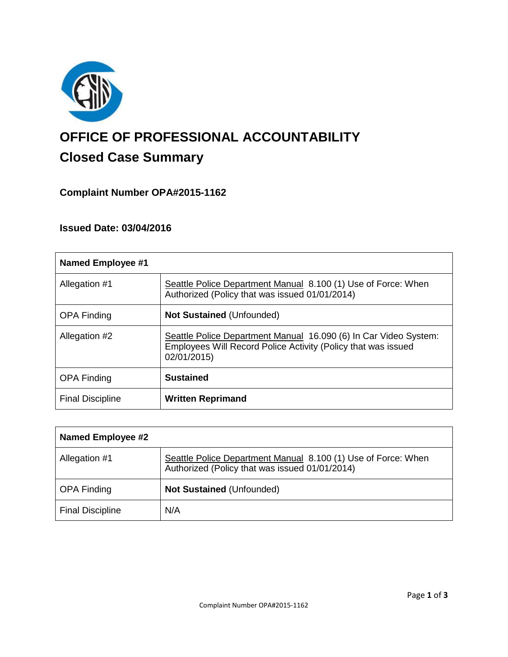

# **OFFICE OF PROFESSIONAL ACCOUNTABILITY Closed Case Summary**

## **Complaint Number OPA#2015-1162**

## **Issued Date: 03/04/2016**

| <b>Named Employee #1</b> |                                                                                                                                                  |
|--------------------------|--------------------------------------------------------------------------------------------------------------------------------------------------|
| Allegation #1            | Seattle Police Department Manual 8.100 (1) Use of Force: When<br>Authorized (Policy that was issued 01/01/2014)                                  |
| <b>OPA Finding</b>       | <b>Not Sustained (Unfounded)</b>                                                                                                                 |
| Allegation #2            | Seattle Police Department Manual 16.090 (6) In Car Video System:<br>Employees Will Record Police Activity (Policy that was issued<br>02/01/2015) |
| <b>OPA Finding</b>       | <b>Sustained</b>                                                                                                                                 |
| <b>Final Discipline</b>  | <b>Written Reprimand</b>                                                                                                                         |

| Named Employee #2       |                                                                                                                 |
|-------------------------|-----------------------------------------------------------------------------------------------------------------|
| Allegation #1           | Seattle Police Department Manual 8.100 (1) Use of Force: When<br>Authorized (Policy that was issued 01/01/2014) |
| <b>OPA Finding</b>      | <b>Not Sustained (Unfounded)</b>                                                                                |
| <b>Final Discipline</b> | N/A                                                                                                             |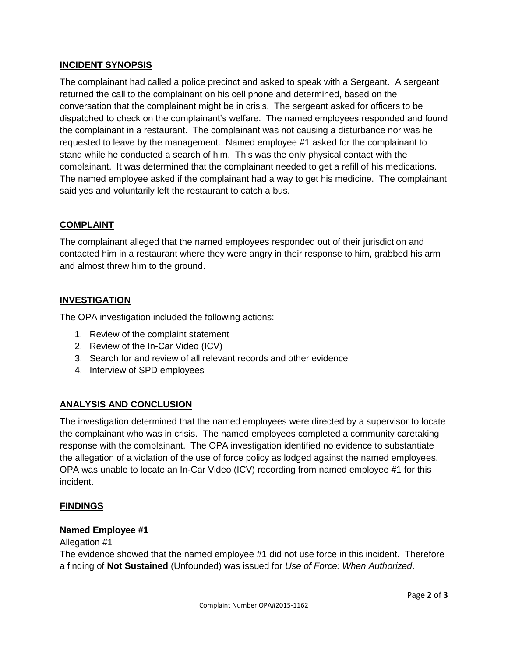## **INCIDENT SYNOPSIS**

The complainant had called a police precinct and asked to speak with a Sergeant. A sergeant returned the call to the complainant on his cell phone and determined, based on the conversation that the complainant might be in crisis. The sergeant asked for officers to be dispatched to check on the complainant's welfare. The named employees responded and found the complainant in a restaurant. The complainant was not causing a disturbance nor was he requested to leave by the management. Named employee #1 asked for the complainant to stand while he conducted a search of him. This was the only physical contact with the complainant. It was determined that the complainant needed to get a refill of his medications. The named employee asked if the complainant had a way to get his medicine. The complainant said yes and voluntarily left the restaurant to catch a bus.

## **COMPLAINT**

The complainant alleged that the named employees responded out of their jurisdiction and contacted him in a restaurant where they were angry in their response to him, grabbed his arm and almost threw him to the ground.

## **INVESTIGATION**

The OPA investigation included the following actions:

- 1. Review of the complaint statement
- 2. Review of the In-Car Video (ICV)
- 3. Search for and review of all relevant records and other evidence
- 4. Interview of SPD employees

## **ANALYSIS AND CONCLUSION**

The investigation determined that the named employees were directed by a supervisor to locate the complainant who was in crisis. The named employees completed a community caretaking response with the complainant. The OPA investigation identified no evidence to substantiate the allegation of a violation of the use of force policy as lodged against the named employees. OPA was unable to locate an In-Car Video (ICV) recording from named employee #1 for this incident.

## **FINDINGS**

## **Named Employee #1**

#### Allegation #1

The evidence showed that the named employee #1 did not use force in this incident. Therefore a finding of **Not Sustained** (Unfounded) was issued for *Use of Force: When Authorized*.